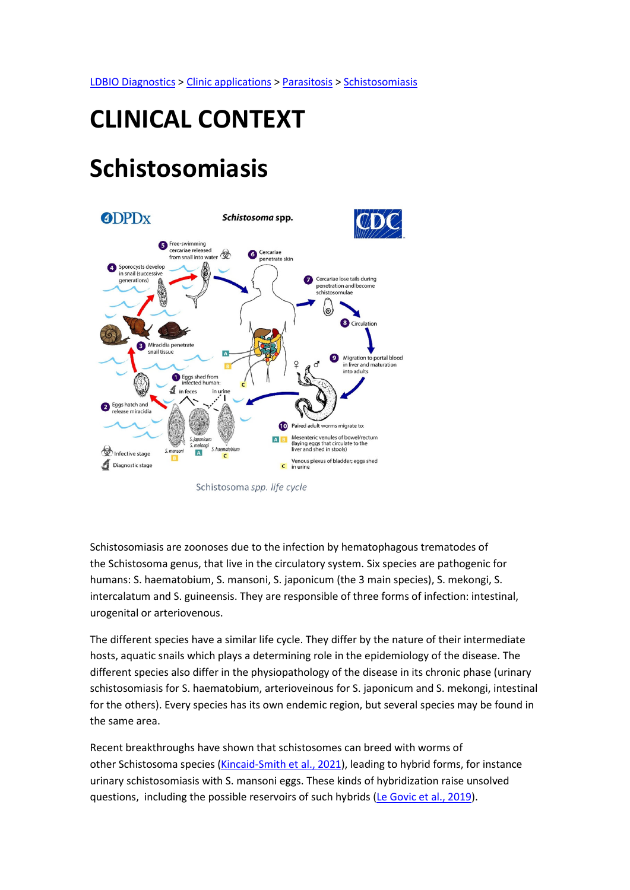LDBIO Diagnostics > Clinic applications > Parasitosis > Schistosomiasis

# CLINICAL CONTEXT

## Schistosomiasis



Schistosoma spp. life cycle

Schistosomiasis are zoonoses due to the infection by hematophagous trematodes of the Schistosoma genus, that live in the circulatory system. Six species are pathogenic for humans: S. haematobium, S. mansoni, S. japonicum (the 3 main species), S. mekongi, S. intercalatum and S. guineensis. They are responsible of three forms of infection: intestinal, urogenital or arteriovenous.

The different species have a similar life cycle. They differ by the nature of their intermediate hosts, aquatic snails which plays a determining role in the epidemiology of the disease. The different species also differ in the physiopathology of the disease in its chronic phase (urinary schistosomiasis for S. haematobium, arterioveinous for S. japonicum and S. mekongi, intestinal for the others). Every species has its own endemic region, but several species may be found in the same area.

Recent breakthroughs have shown that schistosomes can breed with worms of other Schistosoma species (Kincaid-Smith et al., 2021), leading to hybrid forms, for instance urinary schistosomiasis with S. mansoni eggs. These kinds of hybridization raise unsolved questions, including the possible reservoirs of such hybrids (Le Govic et al., 2019).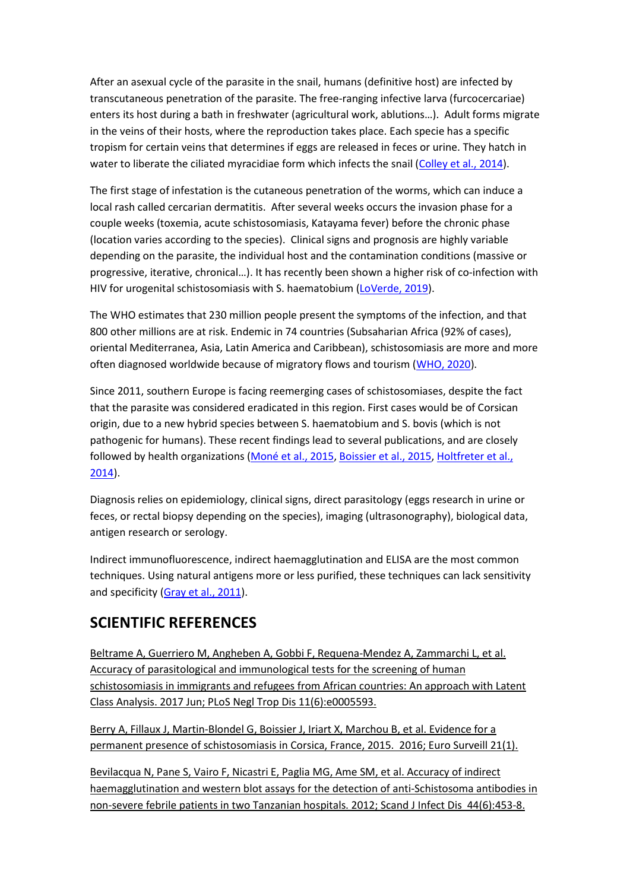After an asexual cycle of the parasite in the snail, humans (definitive host) are infected by transcutaneous penetration of the parasite. The free-ranging infective larva (furcocercariae) enters its host during a bath in freshwater (agricultural work, ablutions…). Adult forms migrate in the veins of their hosts, where the reproduction takes place. Each specie has a specific tropism for certain veins that determines if eggs are released in feces or urine. They hatch in water to liberate the ciliated myracidiae form which infects the snail (Colley et al., 2014).

The first stage of infestation is the cutaneous penetration of the worms, which can induce a local rash called cercarian dermatitis. After several weeks occurs the invasion phase for a couple weeks (toxemia, acute schistosomiasis, Katayama fever) before the chronic phase (location varies according to the species). Clinical signs and prognosis are highly variable depending on the parasite, the individual host and the contamination conditions (massive or progressive, iterative, chronical…). It has recently been shown a higher risk of co-infection with HIV for urogenital schistosomiasis with S. haematobium (LoVerde, 2019).

The WHO estimates that 230 million people present the symptoms of the infection, and that 800 other millions are at risk. Endemic in 74 countries (Subsaharian Africa (92% of cases), oriental Mediterranea, Asia, Latin America and Caribbean), schistosomiasis are more and more often diagnosed worldwide because of migratory flows and tourism (WHO, 2020).

Since 2011, southern Europe is facing reemerging cases of schistosomiases, despite the fact that the parasite was considered eradicated in this region. First cases would be of Corsican origin, due to a new hybrid species between S. haematobium and S. bovis (which is not pathogenic for humans). These recent findings lead to several publications, and are closely followed by health organizations (Moné et al., 2015, Boissier et al., 2015, Holtfreter et al., 2014).

Diagnosis relies on epidemiology, clinical signs, direct parasitology (eggs research in urine or feces, or rectal biopsy depending on the species), imaging (ultrasonography), biological data, antigen research or serology.

Indirect immunofluorescence, indirect haemagglutination and ELISA are the most common techniques. Using natural antigens more or less purified, these techniques can lack sensitivity and specificity (Gray et al., 2011).

#### SCIENTIFIC REFERENCES

Beltrame A, Guerriero M, Angheben A, Gobbi F, Requena-Mendez A, Zammarchi L, et al. Accuracy of parasitological and immunological tests for the screening of human schistosomiasis in immigrants and refugees from African countries: An approach with Latent Class Analysis. 2017 Jun; PLoS Negl Trop Dis 11(6):e0005593.

Berry A, Fillaux J, Martin-Blondel G, Boissier J, Iriart X, Marchou B, et al. Evidence for a permanent presence of schistosomiasis in Corsica, France, 2015. 2016; Euro Surveill 21(1).

Bevilacqua N, Pane S, Vairo F, Nicastri E, Paglia MG, Ame SM, et al. Accuracy of indirect haemagglutination and western blot assays for the detection of anti-Schistosoma antibodies in non-severe febrile patients in two Tanzanian hospitals. 2012; Scand J Infect Dis 44(6):453-8.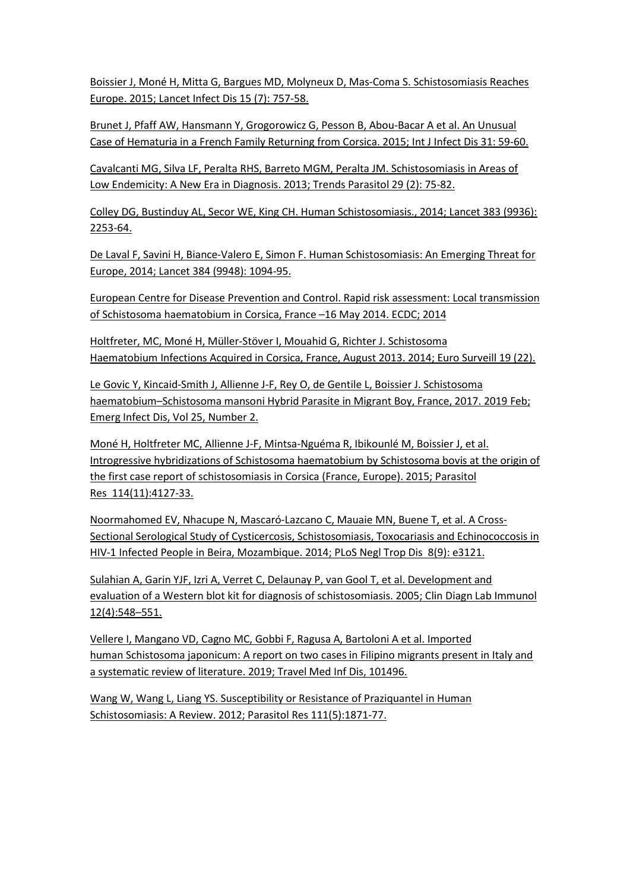Boissier J, Moné H, Mitta G, Bargues MD, Molyneux D, Mas-Coma S. Schistosomiasis Reaches Europe. 2015; Lancet Infect Dis 15 (7): 757-58.

Brunet J, Pfaff AW, Hansmann Y, Grogorowicz G, Pesson B, Abou-Bacar A et al. An Unusual Case of Hematuria in a French Family Returning from Corsica. 2015; Int J Infect Dis 31: 59-60.

Cavalcanti MG, Silva LF, Peralta RHS, Barreto MGM, Peralta JM. Schistosomiasis in Areas of Low Endemicity: A New Era in Diagnosis. 2013; Trends Parasitol 29 (2): 75-82.

Colley DG, Bustinduy AL, Secor WE, King CH. Human Schistosomiasis., 2014; Lancet 383 (9936): 2253-64.

De Laval F, Savini H, Biance-Valero E, Simon F. Human Schistosomiasis: An Emerging Threat for Europe, 2014; Lancet 384 (9948): 1094-95.

European Centre for Disease Prevention and Control. Rapid risk assessment: Local transmission of Schistosoma haematobium in Corsica, France –16 May 2014. ECDC; 2014

Holtfreter, MC, Moné H, Müller-Stöver I, Mouahid G, Richter J. Schistosoma Haematobium Infections Acquired in Corsica, France, August 2013. 2014; Euro Surveill 19 (22).

Le Govic Y, Kincaid-Smith J, Allienne J-F, Rey O, de Gentile L, Boissier J. Schistosoma haematobium–Schistosoma mansoni Hybrid Parasite in Migrant Boy, France, 2017. 2019 Feb; Emerg Infect Dis, Vol 25, Number 2.

Moné H, Holtfreter MC, Allienne J-F, Mintsa-Nguéma R, Ibikounlé M, Boissier J, et al. Introgressive hybridizations of Schistosoma haematobium by Schistosoma bovis at the origin of the first case report of schistosomiasis in Corsica (France, Europe). 2015; Parasitol Res 114(11):4127-33.

Noormahomed EV, Nhacupe N, Mascaró-Lazcano C, Mauaie MN, Buene T, et al. A Cross-Sectional Serological Study of Cysticercosis, Schistosomiasis, Toxocariasis and Echinococcosis in HIV-1 Infected People in Beira, Mozambique. 2014; PLoS Negl Trop Dis 8(9): e3121.

Sulahian A, Garin YJF, Izri A, Verret C, Delaunay P, van Gool T, et al. Development and evaluation of a Western blot kit for diagnosis of schistosomiasis. 2005; Clin Diagn Lab Immunol 12(4):548–551.

Vellere I, Mangano VD, Cagno MC, Gobbi F, Ragusa A, Bartoloni A et al. Imported human Schistosoma japonicum: A report on two cases in Filipino migrants present in Italy and a systematic review of literature. 2019; Travel Med Inf Dis, 101496.

Wang W, Wang L, Liang YS. Susceptibility or Resistance of Praziquantel in Human Schistosomiasis: A Review. 2012; Parasitol Res 111(5):1871-77.